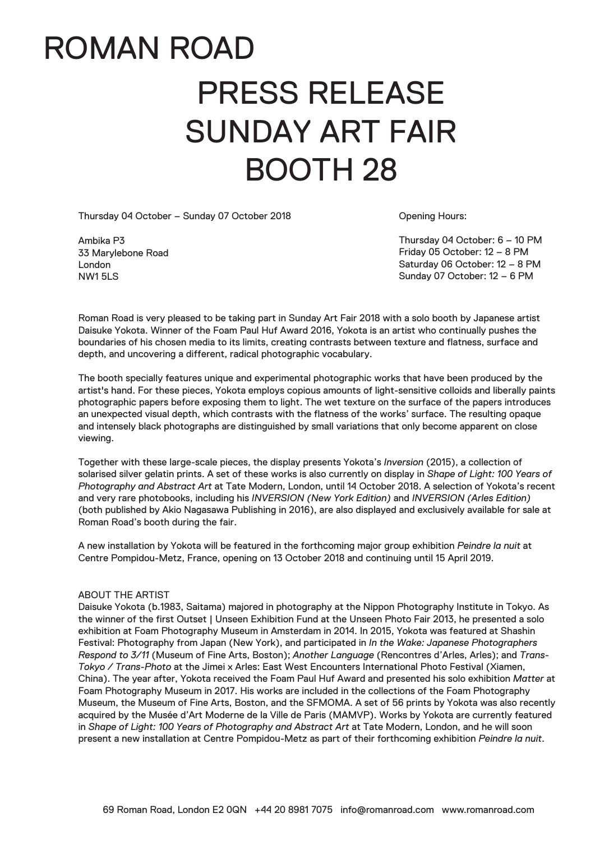## ROMAN ROAD PRESS RELEASE SUNDAY ART FAIR BOOTH 28

Thursday 04 October – Sunday 07 October 2018

Ambika P3 33 Marylebone Road London NW1 5LS

Opening Hours:

Thursday 04 October: 6 – 10 PM Friday 05 October: 12 – 8 PM Saturday 06 October: 12 – 8 PM Sunday 07 October: 12 – 6 PM

Roman Road is very pleased to be taking part in Sunday Art Fair 2018 with a solo booth by Japanese artist Daisuke Yokota. Winner of the Foam Paul Huf Award 2016, Yokota is an artist who continually pushes the boundaries of his chosen media to its limits, creating contrasts between texture and flatness, surface and depth, and uncovering a different, radical photographic vocabulary.

The booth specially features unique and experimental photographic works that have been produced by the artist's hand. For these pieces, Yokota employs copious amounts of light-sensitive colloids and liberally paints photographic papers before exposing them to light. The wet texture on the surface of the papers introduces an unexpected visual depth, which contrasts with the flatness of the works' surface. The resulting opaque and intensely black photographs are distinguished by small variations that only become apparent on close viewing.

Together with these large-scale pieces, the display presents Yokota's *Inversion* (2015), a collection of solarised silver gelatin prints. A set of these works is also currently on display in *Shape of Light: 100 Years of Photography and Abstract Art* at Tate Modern, London, until 14 October 2018. A selection of Yokota's recent and very rare photobooks, including his *INVERSION (New York Edition)* and *INVERSION (Arles Edition)* (both published by Akio Nagasawa Publishing in 2016), are also displayed and exclusively available for sale at Roman Road's booth during the fair.

A new installation by Yokota will be featured in the forthcoming major group exhibition *Peindre la nuit* at Centre Pompidou-Metz, France, opening on 13 October 2018 and continuing until 15 April 2019.

## ABOUT THE ARTIST

Daisuke Yokota (b.1983, Saitama) majored in photography at the Nippon Photography Institute in Tokyo. As the winner of the first Outset | Unseen Exhibition Fund at the Unseen Photo Fair 2013, he presented a solo exhibition at Foam Photography Museum in Amsterdam in 2014. In 2015, Yokota was featured at Shashin Festival: Photography from Japan (New York), and participated in *In the Wake: Japanese Photographers Respond to 3/11* (Museum of Fine Arts, Boston); *Another Language* (Rencontres d'Arles, Arles); and *Trans-Tokyo / Trans-Photo* at the Jimei x Arles: East West Encounters International Photo Festival (Xiamen, China). The year after, Yokota received the Foam Paul Huf Award and presented his solo exhibition *Matter* at Foam Photography Museum in 2017. His works are included in the collections of the Foam Photography Museum, the Museum of Fine Arts, Boston, and the SFMOMA. A set of 56 prints by Yokota was also recently acquired by the Musée d'Art Moderne de la Ville de Paris (MAMVP). Works by Yokota are currently featured in *Shape of Light: 100 Years of Photography and Abstract Art* at Tate Modern, London, and he will soon present a new installation at Centre Pompidou-Metz as part of their forthcoming exhibition *Peindre la nuit*.